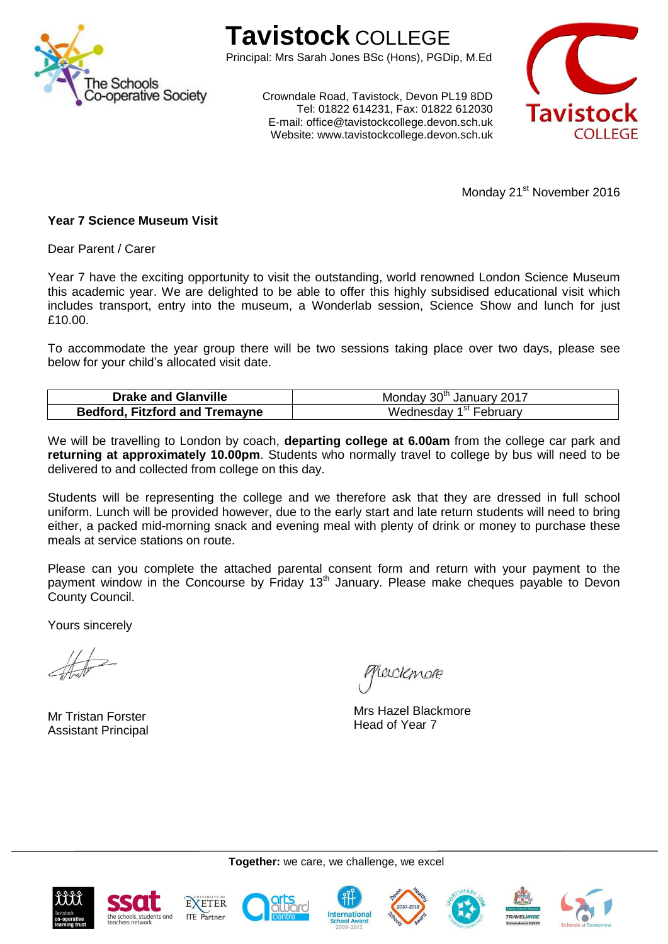

## **Tavistock** COLLEGE

Principal: Mrs Sarah Jones BSc (Hons), PGDip, M.Ed

Crowndale Road, Tavistock, Devon PL19 8DD Tel: 01822 614231, Fax: 01822 612030 E-mail: office@tavistockcollege.devon.sch.uk Website: www.tavistockcollege.devon.sch.uk



Monday 21<sup>st</sup> November 2016

## **Year 7 Science Museum Visit**

Dear Parent / Carer

Year 7 have the exciting opportunity to visit the outstanding, world renowned London Science Museum this academic year. We are delighted to be able to offer this highly subsidised educational visit which includes transport, entry into the museum, a Wonderlab session, Science Show and lunch for just £10.00.

To accommodate the year group there will be two sessions taking place over two days, please see below for your child's allocated visit date.

| <b>Drake and Glanville</b>            | Monday 30th January 2017           |
|---------------------------------------|------------------------------------|
| <b>Bedford, Fitzford and Tremayne</b> | Wednesday 1 <sup>st</sup> February |

We will be travelling to London by coach, **departing college at 6.00am** from the college car park and **returning at approximately 10.00pm**. Students who normally travel to college by bus will need to be delivered to and collected from college on this day.

Students will be representing the college and we therefore ask that they are dressed in full school uniform. Lunch will be provided however, due to the early start and late return students will need to bring either, a packed mid-morning snack and evening meal with plenty of drink or money to purchase these meals at service stations on route.

Please can you complete the attached parental consent form and return with your payment to the payment window in the Concourse by Friday 13<sup>th</sup> January. Please make cheques payable to Devon County Council.

Yours sincerely

Mr Tristan Forster Assistant Principal

Leickmar

Mrs Hazel Blackmore Head of Year 7









**Together:** we care, we challenge, we excel